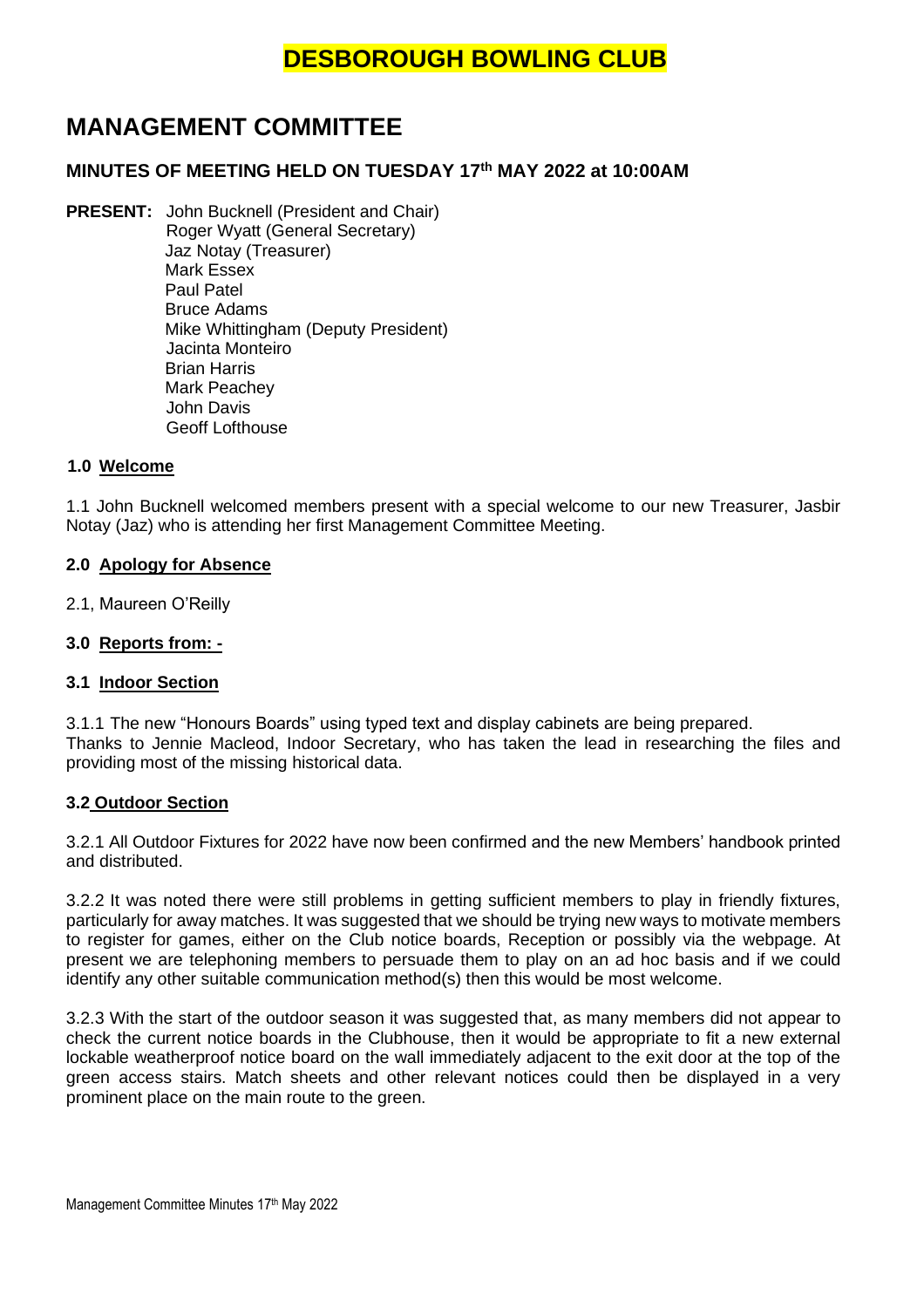# **MANAGEMENT COMMITTEE**

# **MINUTES OF MEETING HELD ON TUESDAY 17 th MAY 2022 at 10:00AM**

**PRESENT:** John Bucknell (President and Chair) Roger Wyatt (General Secretary) Jaz Notay (Treasurer) Mark Essex Paul Patel Bruce Adams Mike Whittingham (Deputy President) Jacinta Monteiro Brian Harris Mark Peachey John Davis Geoff Lofthouse

### **1.0 Welcome**

1.1 John Bucknell welcomed members present with a special welcome to our new Treasurer, Jasbir Notay (Jaz) who is attending her first Management Committee Meeting.

### **2.0 Apology for Absence**

2.1, Maureen O'Reilly

# **3.0 Reports from: -**

### **3.1 Indoor Section**

3.1.1 The new "Honours Boards" using typed text and display cabinets are being prepared. Thanks to Jennie Macleod, Indoor Secretary, who has taken the lead in researching the files and providing most of the missing historical data.

### **3.2 Outdoor Section**

3.2.1 All Outdoor Fixtures for 2022 have now been confirmed and the new Members' handbook printed and distributed.

3.2.2 It was noted there were still problems in getting sufficient members to play in friendly fixtures, particularly for away matches. It was suggested that we should be trying new ways to motivate members to register for games, either on the Club notice boards, Reception or possibly via the webpage. At present we are telephoning members to persuade them to play on an ad hoc basis and if we could identify any other suitable communication method(s) then this would be most welcome.

3.2.3 With the start of the outdoor season it was suggested that, as many members did not appear to check the current notice boards in the Clubhouse, then it would be appropriate to fit a new external lockable weatherproof notice board on the wall immediately adjacent to the exit door at the top of the green access stairs. Match sheets and other relevant notices could then be displayed in a very prominent place on the main route to the green.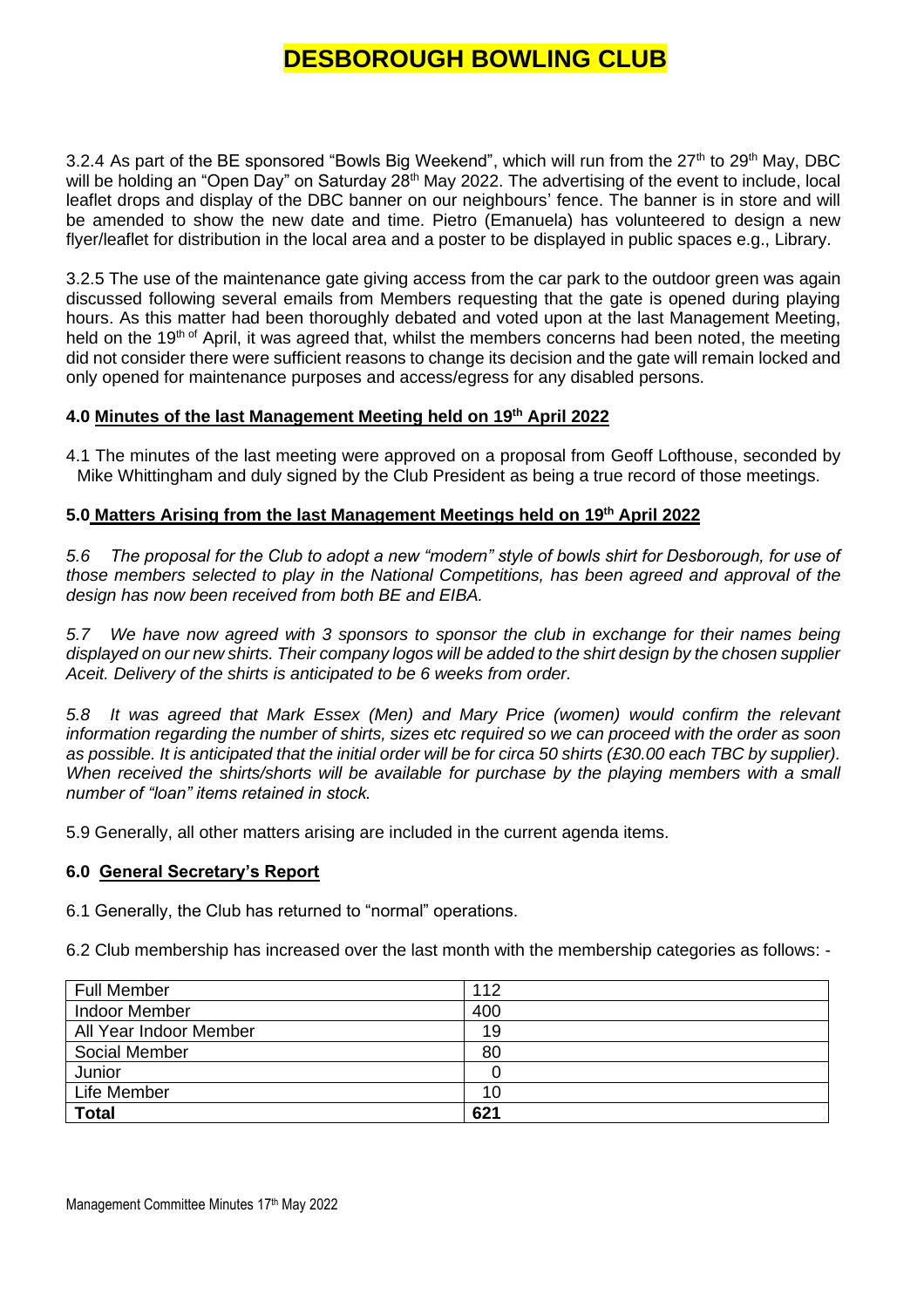3.2.4 As part of the BE sponsored "Bowls Big Weekend", which will run from the  $27<sup>th</sup>$  to  $29<sup>th</sup>$  May, DBC will be holding an "Open Day" on Saturday 28<sup>th</sup> May 2022. The advertising of the event to include, local leaflet drops and display of the DBC banner on our neighbours' fence. The banner is in store and will be amended to show the new date and time. Pietro (Emanuela) has volunteered to design a new flyer/leaflet for distribution in the local area and a poster to be displayed in public spaces e.g., Library.

3.2.5 The use of the maintenance gate giving access from the car park to the outdoor green was again discussed following several emails from Members requesting that the gate is opened during playing hours. As this matter had been thoroughly debated and voted upon at the last Management Meeting, held on the 19<sup>th of</sup> April, it was agreed that, whilst the members concerns had been noted, the meeting did not consider there were sufficient reasons to change its decision and the gate will remain locked and only opened for maintenance purposes and access/egress for any disabled persons.

# **4.0 Minutes of the last Management Meeting held on 19th April 2022**

4.1 The minutes of the last meeting were approved on a proposal from Geoff Lofthouse, seconded by Mike Whittingham and duly signed by the Club President as being a true record of those meetings.

# **5.0 Matters Arising from the last Management Meetings held on 19th April 2022**

*5.6 The proposal for the Club to adopt a new "modern" style of bowls shirt for Desborough, for use of those members selected to play in the National Competitions, has been agreed and approval of the design has now been received from both BE and EIBA.*

*5.7 We have now agreed with 3 sponsors to sponsor the club in exchange for their names being displayed on our new shirts. Their company logos will be added to the shirt design by the chosen supplier Aceit. Delivery of the shirts is anticipated to be 6 weeks from order.*

*5.8 It was agreed that Mark Essex (Men) and Mary Price (women) would confirm the relevant information regarding the number of shirts, sizes etc required so we can proceed with the order as soon as possible. It is anticipated that the initial order will be for circa 50 shirts (£30.00 each TBC by supplier). When received the shirts/shorts will be available for purchase by the playing members with a small number of "loan" items retained in stock.*

5.9 Generally, all other matters arising are included in the current agenda items.

# **6.0 General Secretary's Report**

6.1 Generally, the Club has returned to "normal" operations.

6.2 Club membership has increased over the last month with the membership categories as follows: -

| <b>Full Member</b>     | 112 |
|------------------------|-----|
| <b>Indoor Member</b>   | 400 |
| All Year Indoor Member | 19  |
| Social Member          | 80  |
| Junior                 |     |
| Life Member            | 10  |
| <b>Total</b>           | 621 |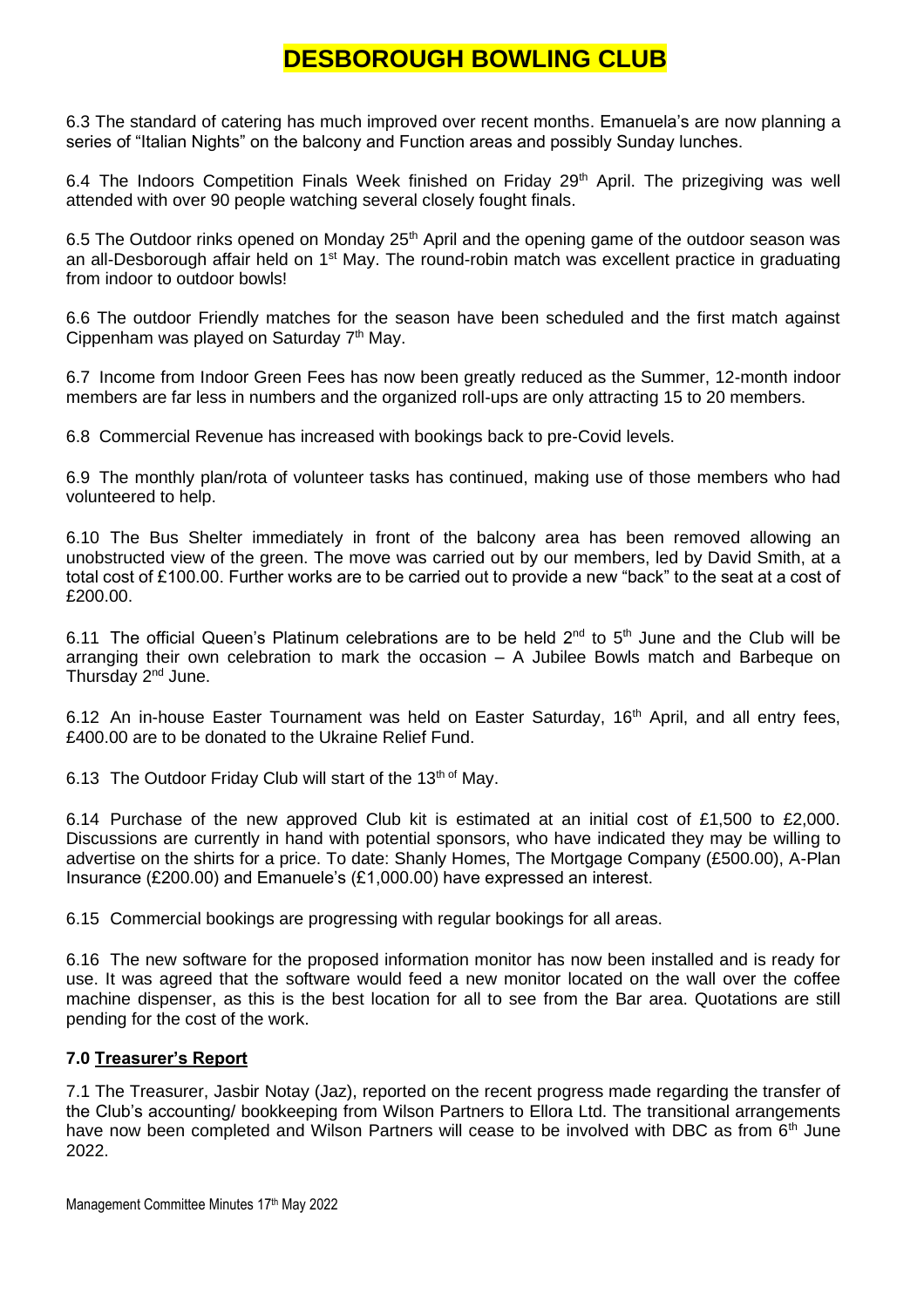6.3 The standard of catering has much improved over recent months. Emanuela's are now planning a series of "Italian Nights" on the balcony and Function areas and possibly Sunday lunches.

6.4 The Indoors Competition Finals Week finished on Friday  $29<sup>th</sup>$  April. The prizegiving was well attended with over 90 people watching several closely fought finals.

6.5 The Outdoor rinks opened on Monday  $25<sup>th</sup>$  April and the opening game of the outdoor season was an all-Desborough affair held on 1<sup>st</sup> May. The round-robin match was excellent practice in graduating from indoor to outdoor bowls!

6.6 The outdoor Friendly matches for the season have been scheduled and the first match against Cippenham was played on Saturday  $7<sup>th</sup>$  May.

6.7 Income from Indoor Green Fees has now been greatly reduced as the Summer, 12-month indoor members are far less in numbers and the organized roll-ups are only attracting 15 to 20 members.

6.8 Commercial Revenue has increased with bookings back to pre-Covid levels.

6.9 The monthly plan/rota of volunteer tasks has continued, making use of those members who had volunteered to help.

6.10 The Bus Shelter immediately in front of the balcony area has been removed allowing an unobstructed view of the green. The move was carried out by our members, led by David Smith, at a total cost of £100.00. Further works are to be carried out to provide a new "back" to the seat at a cost of £200.00.

6.11 The official Queen's Platinum celebrations are to be held  $2^{nd}$  to  $5^{th}$  June and the Club will be arranging their own celebration to mark the occasion – A Jubilee Bowls match and Barbeque on Thursday 2nd June.

6.12 An in-house Easter Tournament was held on Easter Saturday, 16<sup>th</sup> April, and all entry fees, £400.00 are to be donated to the Ukraine Relief Fund.

6.13 The Outdoor Friday Club will start of the 13<sup>th of</sup> May.

6.14 Purchase of the new approved Club kit is estimated at an initial cost of £1,500 to £2,000. Discussions are currently in hand with potential sponsors, who have indicated they may be willing to advertise on the shirts for a price. To date: Shanly Homes, The Mortgage Company (£500.00), A-Plan Insurance (£200.00) and Emanuele's (£1,000.00) have expressed an interest.

6.15 Commercial bookings are progressing with regular bookings for all areas.

6.16 The new software for the proposed information monitor has now been installed and is ready for use. It was agreed that the software would feed a new monitor located on the wall over the coffee machine dispenser, as this is the best location for all to see from the Bar area. Quotations are still pending for the cost of the work.

# **7.0 Treasurer's Report**

7.1 The Treasurer, Jasbir Notay (Jaz), reported on the recent progress made regarding the transfer of the Club's accounting/ bookkeeping from Wilson Partners to Ellora Ltd. The transitional arrangements have now been completed and Wilson Partners will cease to be involved with DBC as from 6<sup>th</sup> June 2022.

Management Committee Minutes 17th May 2022